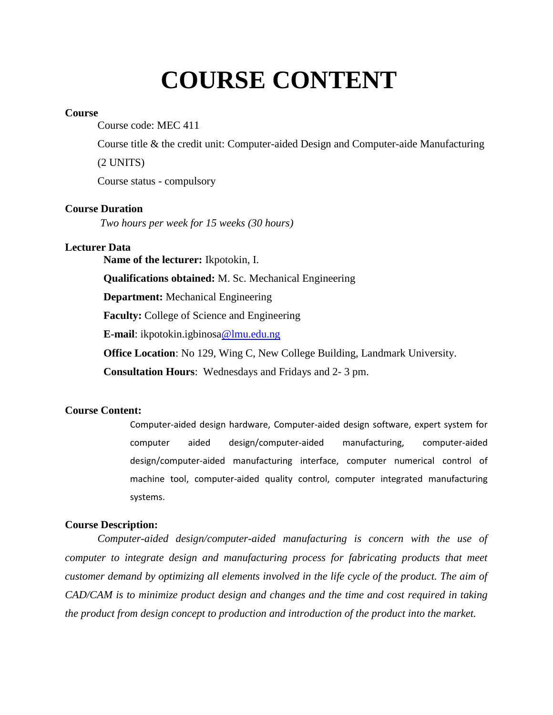# **COURSE CONTENT**

#### **Course**

Course code: MEC 411

Course title & the credit unit: Computer-aided Design and Computer-aide Manufacturing

(2 UNITS)

Course status - compulsory

## **Course Duration**

*Two hours per week for 15 weeks (30 hours)*

## **Lecturer Data**

**Name of the lecturer:** Ikpotokin, I.

**Qualifications obtained:** M. Sc. Mechanical Engineering

**Department:** Mechanical Engineering

**Faculty:** College of Science and Engineering

**E-mail**: ikpotokin.igbinosa@lmu.edu.ng

**Office Location**: No 129, Wing C, New College Building, Landmark University.

**Consultation Hours**: Wednesdays and Fridays and 2- 3 pm.

## **Course Content:**

Computer-aided design hardware, Computer-aided design software, expert system for computer aided design/computer-aided manufacturing, computer-aided design/computer-aided manufacturing interface, computer numerical control of machine tool, computer-aided quality control, computer integrated manufacturing systems.

# **Course Description:**

*Computer-aided design/computer-aided manufacturing is concern with the use of computer to integrate design and manufacturing process for fabricating products that meet customer demand by optimizing all elements involved in the life cycle of the product. The aim of CAD/CAM is to minimize product design and changes and the time and cost required in taking the product from design concept to production and introduction of the product into the market.*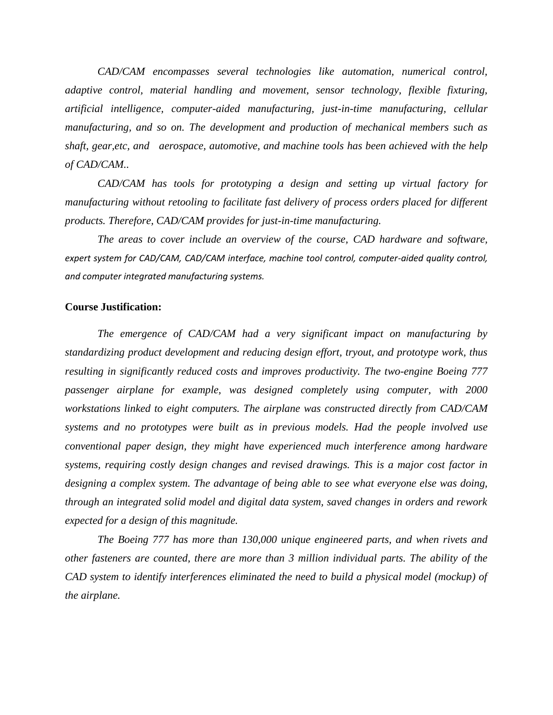*CAD/CAM encompasses several technologies like automation, numerical control, adaptive control, material handling and movement, sensor technology, flexible fixturing, artificial intelligence, computer-aided manufacturing, just-in-time manufacturing, cellular manufacturing, and so on. The development and production of mechanical members such as shaft, gear,etc, and aerospace, automotive, and machine tools has been achieved with the help of CAD/CAM..*

*CAD/CAM has tools for prototyping a design and setting up virtual factory for manufacturing without retooling to facilitate fast delivery of process orders placed for different products. Therefore, CAD/CAM provides for just-in-time manufacturing.*

*The areas to cover include an overview of the course, CAD hardware and software, expert system for CAD/CAM, CAD/CAM interface, machine tool control, computer-aided quality control, and computer integrated manufacturing systems.*

#### **Course Justification:**

*The emergence of CAD/CAM had a very significant impact on manufacturing by standardizing product development and reducing design effort, tryout, and prototype work, thus resulting in significantly reduced costs and improves productivity. The two-engine Boeing 777 passenger airplane for example, was designed completely using computer, with 2000 workstations linked to eight computers. The airplane was constructed directly from CAD/CAM systems and no prototypes were built as in previous models. Had the people involved use conventional paper design, they might have experienced much interference among hardware systems, requiring costly design changes and revised drawings. This is a major cost factor in designing a complex system. The advantage of being able to see what everyone else was doing, through an integrated solid model and digital data system, saved changes in orders and rework expected for a design of this magnitude.* 

*The Boeing 777 has more than 130,000 unique engineered parts, and when rivets and other fasteners are counted, there are more than 3 million individual parts. The ability of the CAD system to identify interferences eliminated the need to build a physical model (mockup) of the airplane.*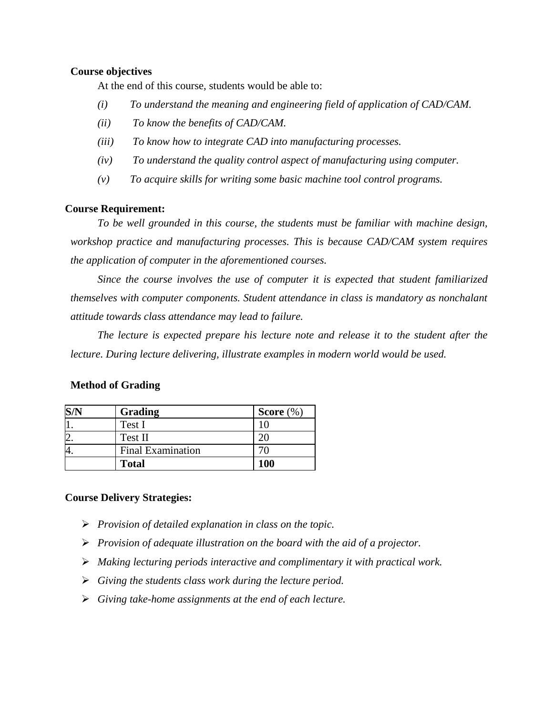#### **Course objectives**

At the end of this course, students would be able to:

- *(i) To understand the meaning and engineering field of application of CAD/CAM.*
- *(ii) To know the benefits of CAD/CAM.*
- *(iii) To know how to integrate CAD into manufacturing processes.*
- *(iv) To understand the quality control aspect of manufacturing using computer.*
- *(v) To acquire skills for writing some basic machine tool control programs.*

#### **Course Requirement:**

*To be well grounded in this course, the students must be familiar with machine design, workshop practice and manufacturing processes. This is because CAD/CAM system requires the application of computer in the aforementioned courses.* 

*Since the course involves the use of computer it is expected that student familiarized themselves with computer components. Student attendance in class is mandatory as nonchalant attitude towards class attendance may lead to failure.*

*The lecture is expected prepare his lecture note and release it to the student after the lecture. During lecture delivering, illustrate examples in modern world would be used.*

| - |                          |              |  |
|---|--------------------------|--------------|--|
|   | Grading                  | Score $(\%)$ |  |
|   | Test I                   |              |  |
|   | Test II                  |              |  |
|   | <b>Final Examination</b> |              |  |

## **Method of Grading**

#### **Course Delivery Strategies:**

*Provision of detailed explanation in class on the topic.*

**Total 100**

- *Provision of adequate illustration on the board with the aid of a projector.*
- *Making lecturing periods interactive and complimentary it with practical work.*
- *Giving the students class work during the lecture period.*
- *Giving take-home assignments at the end of each lecture.*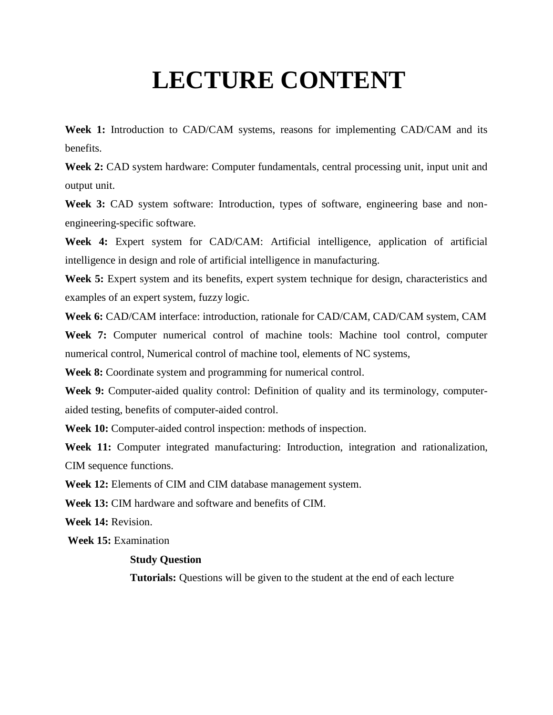# **LECTURE CONTENT**

**Week 1:** Introduction to CAD/CAM systems, reasons for implementing CAD/CAM and its benefits.

**Week 2:** CAD system hardware: Computer fundamentals, central processing unit, input unit and output unit.

Week 3: CAD system software: Introduction, types of software, engineering base and nonengineering-specific software.

**Week 4:** Expert system for CAD/CAM: Artificial intelligence, application of artificial intelligence in design and role of artificial intelligence in manufacturing.

**Week 5:** Expert system and its benefits, expert system technique for design, characteristics and examples of an expert system, fuzzy logic.

**Week 6:** CAD/CAM interface: introduction, rationale for CAD/CAM, CAD/CAM system, CAM **Week 7:** Computer numerical control of machine tools: Machine tool control, computer numerical control, Numerical control of machine tool, elements of NC systems,

**Week 8:** Coordinate system and programming for numerical control.

**Week 9:** Computer-aided quality control: Definition of quality and its terminology, computeraided testing, benefits of computer-aided control.

**Week 10:** Computer-aided control inspection: methods of inspection.

**Week 11:** Computer integrated manufacturing: Introduction, integration and rationalization, CIM sequence functions.

**Week 12:** Elements of CIM and CIM database management system.

**Week 13:** CIM hardware and software and benefits of CIM.

**Week 14:** Revision.

**Week 15:** Examination

#### **Study Question**

**Tutorials:** Questions will be given to the student at the end of each lecture